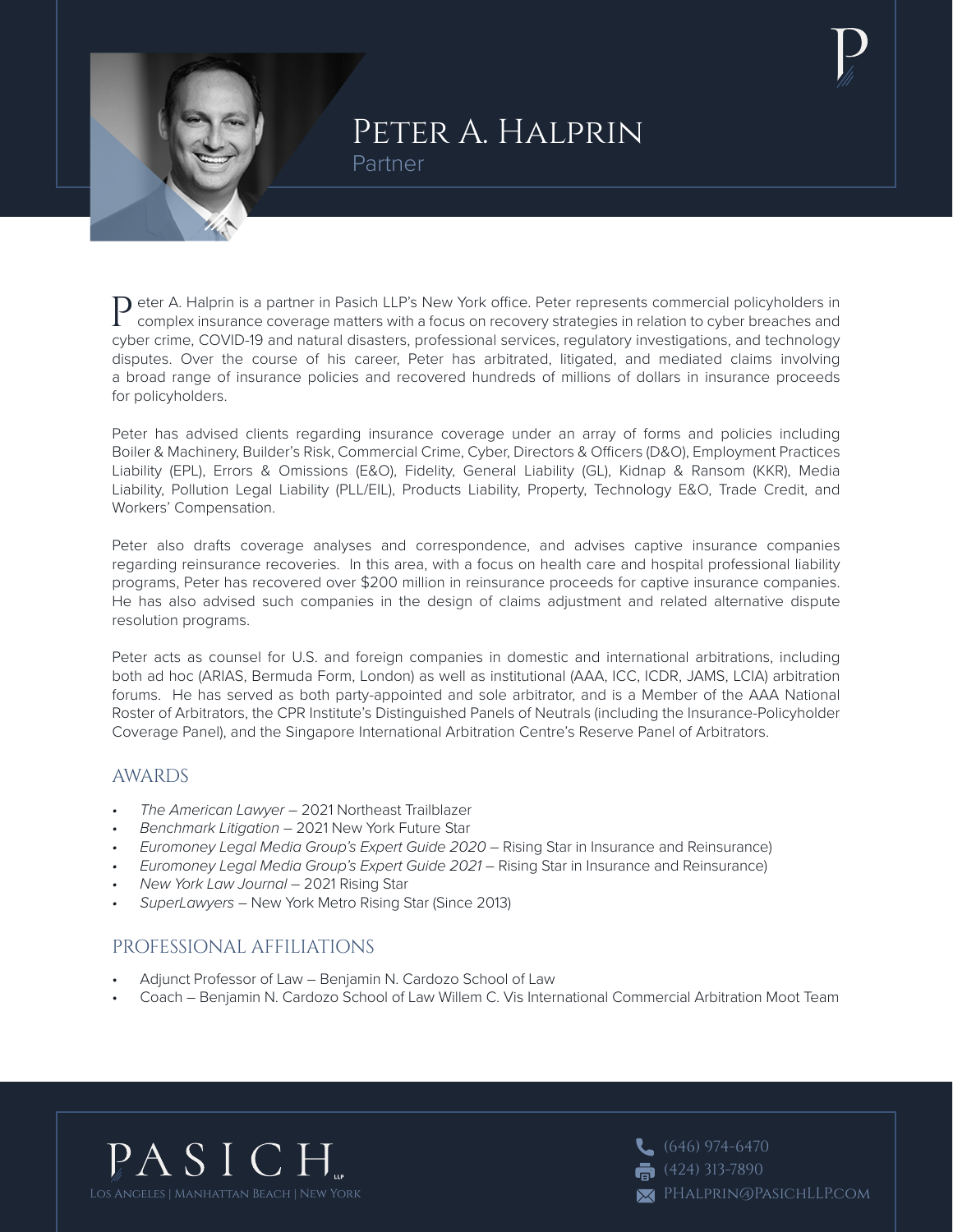

# Peter A. Halprin Partner

Peter A. Halprin is a partner in Pasich LLP's New York office. Peter represents commercial policyholders in<br>Complex insurance coverage with the community complex insurance coverage matters with a focus on recovery strategies in relation to cyber breaches and cyber crime, COVID-19 and natural disasters, professional services, regulatory investigations, and technology disputes. Over the course of his career, Peter has arbitrated, litigated, and mediated claims involving a broad range of insurance policies and recovered hundreds of millions of dollars in insurance proceeds for policyholders.

Peter has advised clients regarding insurance coverage under an array of forms and policies including Boiler & Machinery, Builder's Risk, Commercial Crime, Cyber, Directors & Officers (D&O), Employment Practices Liability (EPL), Errors & Omissions (E&O), Fidelity, General Liability (GL), Kidnap & Ransom (KKR), Media Liability, Pollution Legal Liability (PLL/EIL), Products Liability, Property, Technology E&O, Trade Credit, and Workers' Compensation.

Peter also drafts coverage analyses and correspondence, and advises captive insurance companies regarding reinsurance recoveries. In this area, with a focus on health care and hospital professional liability programs, Peter has recovered over \$200 million in reinsurance proceeds for captive insurance companies. He has also advised such companies in the design of claims adjustment and related alternative dispute resolution programs.

Peter acts as counsel for U.S. and foreign companies in domestic and international arbitrations, including both ad hoc (ARIAS, Bermuda Form, London) as well as institutional (AAA, ICC, ICDR, JAMS, LCIA) arbitration forums. He has served as both party-appointed and sole arbitrator, and is a Member of the AAA National Roster of Arbitrators, the CPR Institute's Distinguished Panels of Neutrals (including the Insurance-Policyholder Coverage Panel), and the Singapore International Arbitration Centre's Reserve Panel of Arbitrators.

#### AWARDS

- *• The American Lawyer* 2021 Northeast Trailblazer
- *• Benchmark Litigation* 2021 New York Future Star
- *• Euromoney Legal Media Group's Expert Guide 2020* Rising Star in Insurance and Reinsurance)
- *• Euromoney Legal Media Group's Expert Guide 2021* Rising Star in Insurance and Reinsurance)
- *• New York Law Journal* 2021 Rising Star
- *• SuperLawyers* New York Metro Rising Star (Since 2013)

### PROFESSIONAL AFFILIATIONS

- Adjunct Professor of Law Benjamin N. Cardozo School of Law
- Coach Benjamin N. Cardozo School of Law Willem C. Vis International Commercial Arbitration Moot Team



 $\left(646\right)$  974-6470  $(424)$  313-7890 PHalprin@PasichLLP.com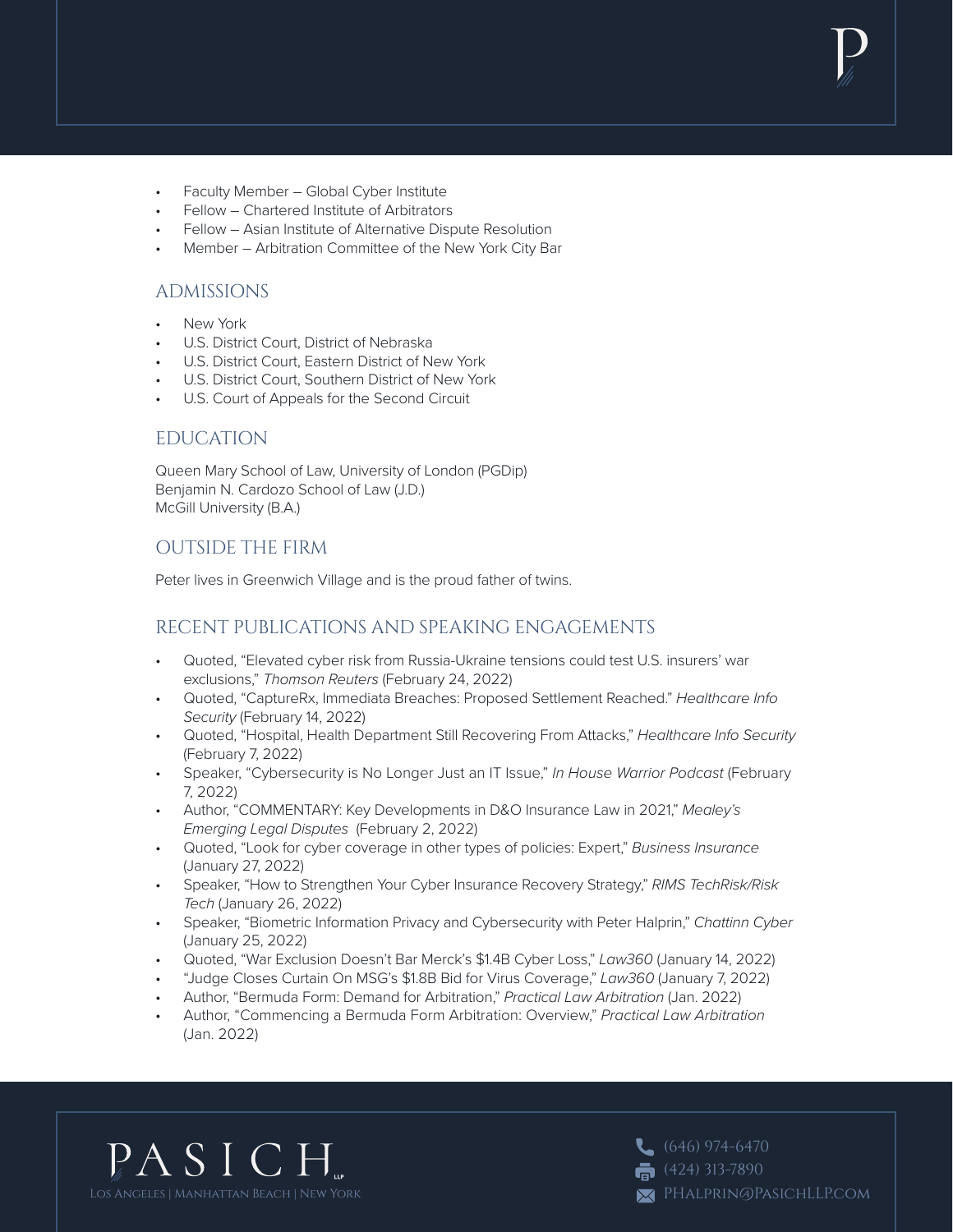- Faculty Member Global Cyber Institute
- Fellow Chartered Institute of Arbitrators
- Fellow Asian Institute of Alternative Dispute Resolution
- Member Arbitration Committee of the New York City Bar

### ADMISSIONS

- New York
- U.S. District Court, District of Nebraska
- U.S. District Court, Eastern District of New York
- U.S. District Court, Southern District of New York
- U.S. Court of Appeals for the Second Circuit

### EDUCATION

Queen Mary School of Law, University of London (PGDip) Benjamin N. Cardozo School of Law (J.D.) McGill University (B.A.)

## OUTSIDE THE FIRM

Peter lives in Greenwich Village and is the proud father of twins.

# RECENT PUBLICATIONS AND SPEAKING ENGAGEMENTS

- Quoted, "Elevated cyber risk from Russia-Ukraine tensions could test U.S. insurers' war exclusions," *Thomson Reuters* (February 24, 2022)
- Quoted, "CaptureRx, Immediata Breaches: Proposed Settlement Reached." *Healthcare Info Security* (February 14, 2022)
- Quoted, "Hospital, Health Department Still Recovering From Attacks," *Healthcare Info Security* (February 7, 2022)
- Speaker, "Cybersecurity is No Longer Just an IT Issue," *In House Warrior Podcast* (February 7, 2022)
- Author, "COMMENTARY: Key Developments in D&O Insurance Law in 2021," *Mealey's Emerging Legal Disputes* (February 2, 2022)
- Quoted, "Look for cyber coverage in other types of policies: Expert," *Business Insurance* (January 27, 2022)
- Speaker, "How to Strengthen Your Cyber Insurance Recovery Strategy," *RIMS TechRisk/Risk Tech* (January 26, 2022)
- Speaker, "Biometric Information Privacy and Cybersecurity with Peter Halprin," *Chattinn Cyber* (January 25, 2022)
- Quoted, "War Exclusion Doesn't Bar Merck's \$1.4B Cyber Loss," *Law360* (January 14, 2022)
- "Judge Closes Curtain On MSG's \$1.8B Bid for Virus Coverage," *Law360* (January 7, 2022)
- Author, "Bermuda Form: Demand for Arbitration," *Practical Law Arbitration* (Jan. 2022)
- Author, "Commencing a Bermuda Form Arbitration: Overview," *Practical Law Arbitration* (Jan. 2022)



 $\left(646\right)$  974-6470  $\bullet$  (424) 313-7890 PHalprin@PasichLLP.com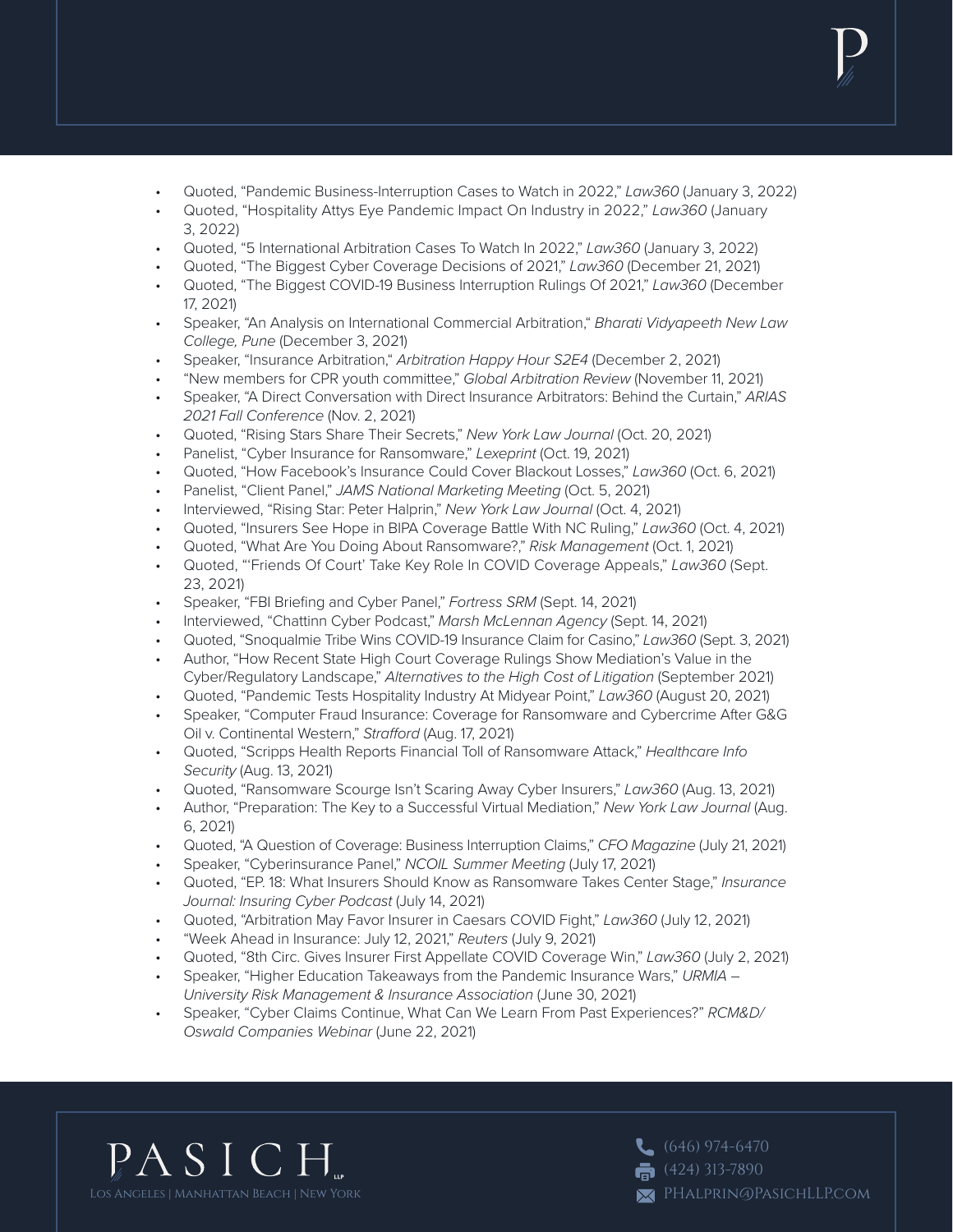- Quoted, "Pandemic Business-Interruption Cases to Watch in 2022," *Law360* (January 3, 2022)
- Quoted, "Hospitality Attys Eye Pandemic Impact On Industry in 2022," *Law360* (January 3, 2022)
- Quoted, "5 International Arbitration Cases To Watch In 2022," *Law360* (January 3, 2022)
- Quoted, "The Biggest Cyber Coverage Decisions of 2021," *Law360* (December 21, 2021)
- Quoted, "The Biggest COVID-19 Business Interruption Rulings Of 2021," *Law360* (December 17, 2021)
- Speaker, "An Analysis on International Commercial Arbitration," *Bharati Vidyapeeth New Law College, Pune* (December 3, 2021)
- Speaker, "Insurance Arbitration," *Arbitration Happy Hour S2E4* (December 2, 2021)
- "New members for CPR youth committee," *Global Arbitration Review* (November 11, 2021)
- Speaker, "A Direct Conversation with Direct Insurance Arbitrators: Behind the Curtain," *ARIAS 2021 Fall Conference* (Nov. 2, 2021)
- Quoted, "Rising Stars Share Their Secrets," *New York Law Journal* (Oct. 20, 2021)
- Panelist, "Cyber Insurance for Ransomware," *Lexeprint* (Oct. 19, 2021)
- Quoted, "How Facebook's Insurance Could Cover Blackout Losses," *Law360* (Oct. 6, 2021)
- Panelist, "Client Panel," *JAMS National Marketing Meeting* (Oct. 5, 2021)
- Interviewed, "Rising Star: Peter Halprin," *New York Law Journal* (Oct. 4, 2021)
- Quoted, "Insurers See Hope in BIPA Coverage Battle With NC Ruling," *Law360* (Oct. 4, 2021)
- Quoted, "What Are You Doing About Ransomware?," *Risk Management* (Oct. 1, 2021)
- Quoted, "'Friends Of Court' Take Key Role In COVID Coverage Appeals," *Law360* (Sept. 23, 2021)
- Speaker, "FBI Briefing and Cyber Panel," *Fortress SRM* (Sept. 14, 2021)
- Interviewed, "Chattinn Cyber Podcast," *Marsh McLennan Agency* (Sept. 14, 2021)
- Quoted, "Snoqualmie Tribe Wins COVID-19 Insurance Claim for Casino," *Law360* (Sept. 3, 2021)
- Author, "How Recent State High Court Coverage Rulings Show Mediation's Value in the Cyber/Regulatory Landscape," *Alternatives to the High Cost of Litigation* (September 2021)
- Quoted, "Pandemic Tests Hospitality Industry At Midyear Point," *Law360* (August 20, 2021)
- Speaker, "Computer Fraud Insurance: Coverage for Ransomware and Cybercrime After G&G Oil v. Continental Western," *Strafford* (Aug. 17, 2021)
- Quoted, "Scripps Health Reports Financial Toll of Ransomware Attack," *Healthcare Info Security* (Aug. 13, 2021)
- Quoted, "Ransomware Scourge Isn't Scaring Away Cyber Insurers," *Law360* (Aug. 13, 2021)
- Author, "Preparation: The Key to a Successful Virtual Mediation," *New York Law Journal* (Aug. 6, 2021)
- Quoted, "A Question of Coverage: Business Interruption Claims," *CFO Magazine* (July 21, 2021)
- Speaker, "Cyberinsurance Panel," *NCOIL Summer Meeting* (July 17, 2021)
- Quoted, "EP. 18: What Insurers Should Know as Ransomware Takes Center Stage," *Insurance Journal: Insuring Cyber Podcast* (July 14, 2021)
- Quoted, "Arbitration May Favor Insurer in Caesars COVID Fight," *Law360* (July 12, 2021)
- "Week Ahead in Insurance: July 12, 2021," *Reuters* (July 9, 2021)
- Quoted, "8th Circ. Gives Insurer First Appellate COVID Coverage Win," *Law360* (July 2, 2021)
- Speaker, "Higher Education Takeaways from the Pandemic Insurance Wars," *URMIA University Risk Management & Insurance Association* (June 30, 2021)
- Speaker, "Cyber Claims Continue, What Can We Learn From Past Experiences?" *RCM&D/ Oswald Companies Webinar* (June 22, 2021)



 $(646)$  974-6470  $\bullet$  (424) 313-7890 PHalprin@PasichLLP.com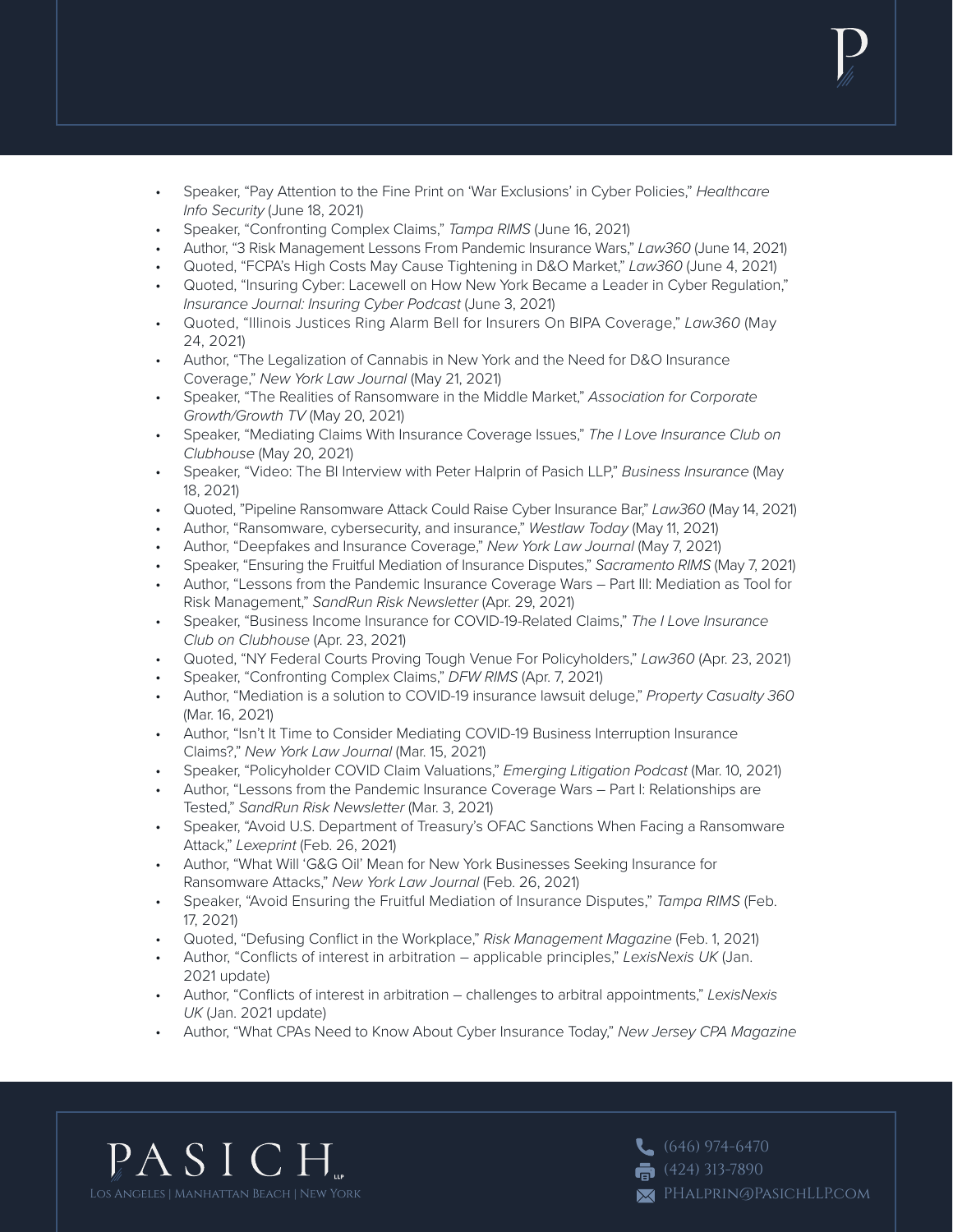- Speaker, "Pay Attention to the Fine Print on 'War Exclusions' in Cyber Policies," *Healthcare Info Security* (June 18, 2021)
- Speaker, "Confronting Complex Claims," *Tampa RIMS* (June 16, 2021)
- Author, "3 Risk Management Lessons From Pandemic Insurance Wars," *Law360* (June 14, 2021)
- Quoted, "FCPA's High Costs May Cause Tightening in D&O Market," *Law360* (June 4, 2021)
- Quoted, "Insuring Cyber: Lacewell on How New York Became a Leader in Cyber Regulation," *Insurance Journal: Insuring Cyber Podcast* (June 3, 2021)
- Quoted, "Illinois Justices Ring Alarm Bell for Insurers On BIPA Coverage," *Law360* (May 24, 2021)
- Author, "The Legalization of Cannabis in New York and the Need for D&O Insurance Coverage," *New York Law Journal* (May 21, 2021)
- Speaker, "The Realities of Ransomware in the Middle Market," *Association for Corporate Growth/Growth TV* (May 20, 2021)
- Speaker, "Mediating Claims With Insurance Coverage Issues," *The I Love Insurance Club on Clubhouse* (May 20, 2021)
- Speaker, "Video: The BI Interview with Peter Halprin of Pasich LLP," *Business Insurance* (May 18, 2021)
- Quoted, "Pipeline Ransomware Attack Could Raise Cyber Insurance Bar," *Law360* (May 14, 2021)
- Author, "Ransomware, cybersecurity, and insurance," *Westlaw Today* (May 11, 2021)
- Author, "Deepfakes and Insurance Coverage," *New York Law Journal* (May 7, 2021)
- Speaker, "Ensuring the Fruitful Mediation of Insurance Disputes," *Sacramento RIMS* (May 7, 2021)
- Author, "Lessons from the Pandemic Insurance Coverage Wars Part III: Mediation as Tool for Risk Management," *SandRun Risk Newsletter* (Apr. 29, 2021)
- Speaker, "Business Income Insurance for COVID-19-Related Claims," *The I Love Insurance Club on Clubhouse* (Apr. 23, 2021)
- Quoted, "NY Federal Courts Proving Tough Venue For Policyholders," *Law360* (Apr. 23, 2021)
- Speaker, "Confronting Complex Claims," *DFW RIMS* (Apr. 7, 2021)
- Author, "Mediation is a solution to COVID-19 insurance lawsuit deluge," *Property Casualty 360* (Mar. 16, 2021)
- Author, "Isn't It Time to Consider Mediating COVID-19 Business Interruption Insurance Claims?," *New York Law Journal* (Mar. 15, 2021)
- Speaker, "Policyholder COVID Claim Valuations," *Emerging Litigation Podcast* (Mar. 10, 2021)
- Author, "Lessons from the Pandemic Insurance Coverage Wars Part I: Relationships are Tested," *SandRun Risk Newsletter* (Mar. 3, 2021)
- Speaker, "Avoid U.S. Department of Treasury's OFAC Sanctions When Facing a Ransomware Attack," *Lexeprint* (Feb. 26, 2021)
- Author, "What Will 'G&G Oil' Mean for New York Businesses Seeking Insurance for Ransomware Attacks," *New York Law Journal* (Feb. 26, 2021)
- Speaker, "Avoid Ensuring the Fruitful Mediation of Insurance Disputes," *Tampa RIMS* (Feb. 17, 2021)
- Quoted, "Defusing Conflict in the Workplace," *Risk Management Magazine* (Feb. 1, 2021)
- Author, "Conflicts of interest in arbitration applicable principles," *LexisNexis UK* (Jan. 2021 update)
- Author, "Conflicts of interest in arbitration challenges to arbitral appointments," *LexisNexis UK* (Jan. 2021 update)
- Author, "What CPAs Need to Know About Cyber Insurance Today," *New Jersey CPA Magazine*



 $(646)$  974-6470  $\overline{6}$  (424) 313-7890 PHalprin@PasichLLP.com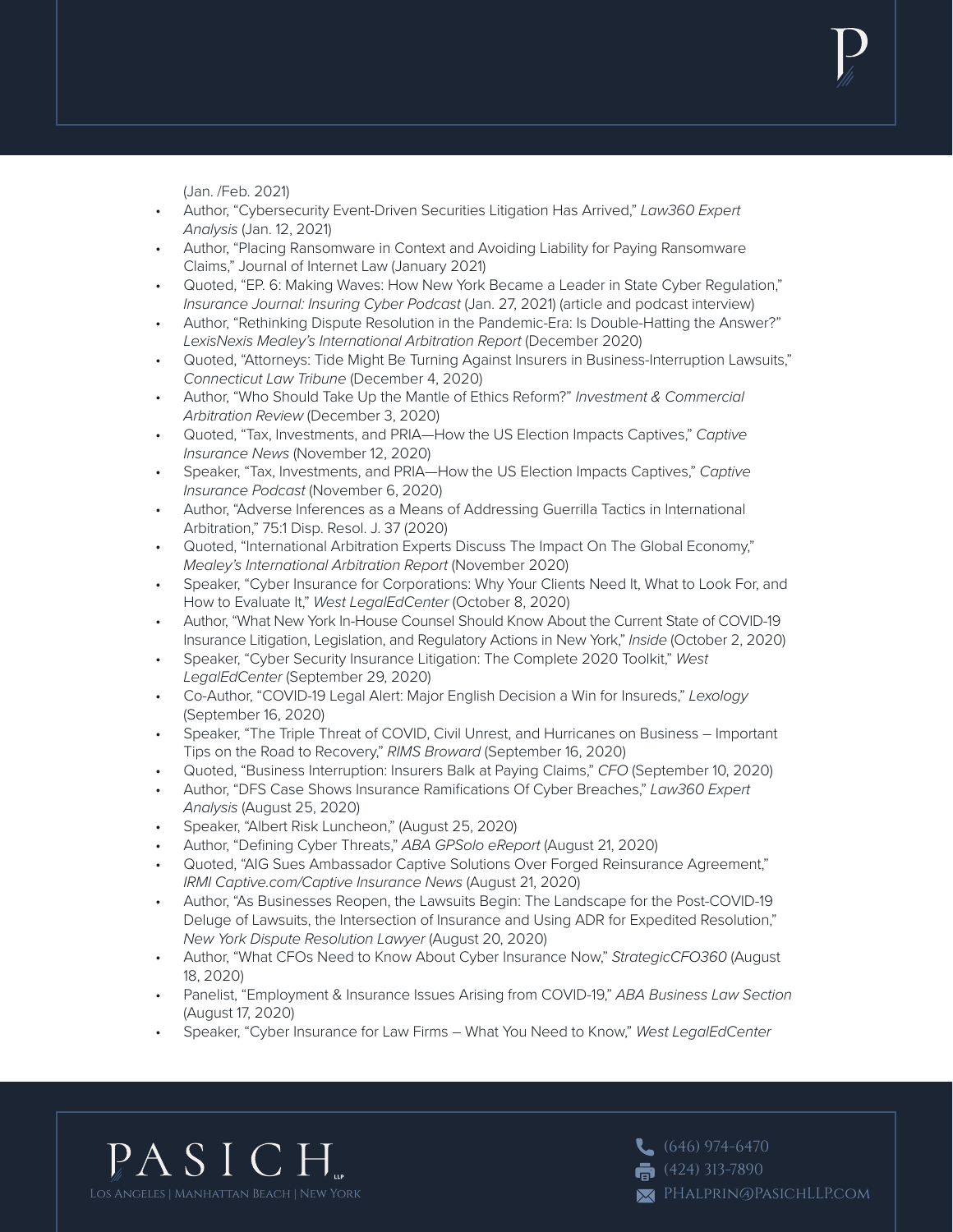(Jan. /Feb. 2021)

- Author, "Cybersecurity Event-Driven Securities Litigation Has Arrived," *Law360 Expert Analysis* (Jan. 12, 2021)
- Author, "Placing Ransomware in Context and Avoiding Liability for Paying Ransomware Claims," Journal of Internet Law (January 2021)
- Quoted, "EP. 6: Making Waves: How New York Became a Leader in State Cyber Regulation," *Insurance Journal: Insuring Cyber Podcast* (Jan. 27, 2021) (article and podcast interview)
- Author, "Rethinking Dispute Resolution in the Pandemic-Era: Is Double-Hatting the Answer?" *LexisNexis Mealey's International Arbitration Report* (December 2020)
- Quoted, "Attorneys: Tide Might Be Turning Against Insurers in Business-Interruption Lawsuits," *Connecticut Law Tribune* (December 4, 2020)
- Author, "Who Should Take Up the Mantle of Ethics Reform?" *Investment & Commercial Arbitration Review* (December 3, 2020)
- Quoted, "Tax, Investments, and PRIA—How the US Election Impacts Captives," *Captive Insurance News* (November 12, 2020)
- Speaker, "Tax, Investments, and PRIA—How the US Election Impacts Captives," *Captive Insurance Podcast* (November 6, 2020)
- Author, "Adverse Inferences as a Means of Addressing Guerrilla Tactics in International Arbitration," 75:1 Disp. Resol. J. 37 (2020)
- Quoted, "International Arbitration Experts Discuss The Impact On The Global Economy," *Mealey's International Arbitration Report* (November 2020)
- Speaker, "Cyber Insurance for Corporations: Why Your Clients Need It, What to Look For, and How to Evaluate It," *West LegalEdCenter* (October 8, 2020)
- Author, "What New York In-House Counsel Should Know About the Current State of COVID-19 Insurance Litigation, Legislation, and Regulatory Actions in New York," *Inside* (October 2, 2020)
- Speaker, "Cyber Security Insurance Litigation: The Complete 2020 Toolkit," *West LegalEdCenter* (September 29, 2020)
- Co-Author, "COVID-19 Legal Alert: Major English Decision a Win for Insureds," *Lexology* (September 16, 2020)
- Speaker, "The Triple Threat of COVID, Civil Unrest, and Hurricanes on Business Important Tips on the Road to Recovery," *RIMS Broward* (September 16, 2020)
- Quoted, "Business Interruption: Insurers Balk at Paying Claims," *CFO* (September 10, 2020)
- Author, "DFS Case Shows Insurance Ramifications Of Cyber Breaches," *Law360 Expert Analysis* (August 25, 2020)
- Speaker, "Albert Risk Luncheon," (August 25, 2020)
- Author, "Defining Cyber Threats," *ABA GPSolo eReport* (August 21, 2020)
- Quoted, "AIG Sues Ambassador Captive Solutions Over Forged Reinsurance Agreement," *IRMI Captive.com/Captive Insurance News* (August 21, 2020)
- Author, "As Businesses Reopen, the Lawsuits Begin: The Landscape for the Post-COVID-19 Deluge of Lawsuits, the Intersection of Insurance and Using ADR for Expedited Resolution," *New York Dispute Resolution Lawyer* (August 20, 2020)
- Author, "What CFOs Need to Know About Cyber Insurance Now," *StrategicCFO360* (August 18, 2020)
- Panelist, "Employment & Insurance Issues Arising from COVID-19," *ABA Business Law Section* (August 17, 2020)
- Speaker, "Cyber Insurance for Law Firms What You Need to Know," *West LegalEdCenter*



 $(646)$  974-6470  $\overline{6}$  (424) 313-7890 PHalprin@PasichLLP.com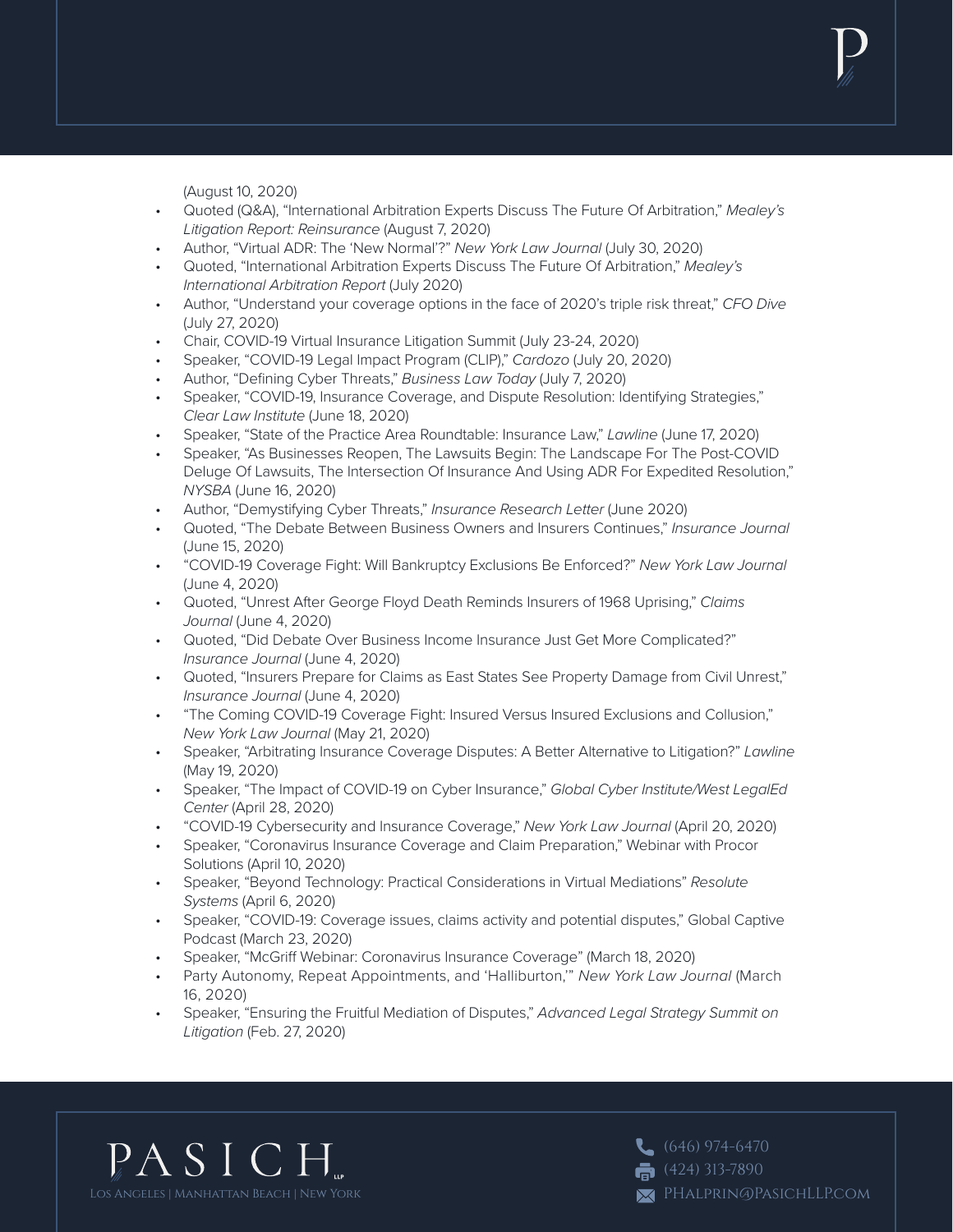(August 10, 2020)

- Quoted (Q&A), "International Arbitration Experts Discuss The Future Of Arbitration," *Mealey's Litigation Report: Reinsurance* (August 7, 2020)
- Author, "Virtual ADR: The 'New Normal'?" *New York Law Journal* (July 30, 2020)
- Quoted, "International Arbitration Experts Discuss The Future Of Arbitration," *Mealey's International Arbitration Report* (July 2020)
- Author, "Understand your coverage options in the face of 2020's triple risk threat," *CFO Dive* (July 27, 2020)
- Chair, COVID-19 Virtual Insurance Litigation Summit (July 23-24, 2020)
- Speaker, "COVID-19 Legal Impact Program (CLIP)," *Cardozo* (July 20, 2020)
- Author, "Defining Cyber Threats," *Business Law Today* (July 7, 2020)
- Speaker, "COVID-19, Insurance Coverage, and Dispute Resolution: Identifying Strategies," *Clear Law Institute* (June 18, 2020)
- Speaker, "State of the Practice Area Roundtable: Insurance Law," *Lawline* (June 17, 2020)
- Speaker, "As Businesses Reopen, The Lawsuits Begin: The Landscape For The Post-COVID Deluge Of Lawsuits, The Intersection Of Insurance And Using ADR For Expedited Resolution," *NYSBA* (June 16, 2020)
- Author, "Demystifying Cyber Threats," *Insurance Research Letter* (June 2020)
- Quoted, "The Debate Between Business Owners and Insurers Continues," *Insurance Journal*  (June 15, 2020)
- "COVID-19 Coverage Fight: Will Bankruptcy Exclusions Be Enforced?" *New York Law Journal*  (June 4, 2020)
- Quoted, "Unrest After George Floyd Death Reminds Insurers of 1968 Uprising," *Claims Journal* (June 4, 2020)
- Quoted, "Did Debate Over Business Income Insurance Just Get More Complicated?" *Insurance Journal* (June 4, 2020)
- Quoted, "Insurers Prepare for Claims as East States See Property Damage from Civil Unrest," *Insurance Journal* (June 4, 2020)
- "The Coming COVID-19 Coverage Fight: Insured Versus Insured Exclusions and Collusion," *New York Law Journal* (May 21, 2020)
- Speaker, "Arbitrating Insurance Coverage Disputes: A Better Alternative to Litigation?" *Lawline*  (May 19, 2020)
- Speaker, "The Impact of COVID-19 on Cyber Insurance," *Global Cyber Institute/West LegalEd Center* (April 28, 2020)
- "COVID-19 Cybersecurity and Insurance Coverage," *New York Law Journal* (April 20, 2020)
- Speaker, "Coronavirus Insurance Coverage and Claim Preparation," Webinar with Procor Solutions (April 10, 2020)
- Speaker, "Beyond Technology: Practical Considerations in Virtual Mediations" *Resolute Systems* (April 6, 2020)
- Speaker, "COVID-19: Coverage issues, claims activity and potential disputes," Global Captive Podcast (March 23, 2020)
- Speaker, "McGriff Webinar: Coronavirus Insurance Coverage" (March 18, 2020)
- Party Autonomy, Repeat Appointments, and 'Halliburton,'" *New York Law Journal* (March 16, 2020)
- Speaker, "Ensuring the Fruitful Mediation of Disputes," *Advanced Legal Strategy Summit on Litigation* (Feb. 27, 2020)



 $(646)$  974-6470  $\bullet$  (424) 313-7890 PHalprin@PasichLLP.com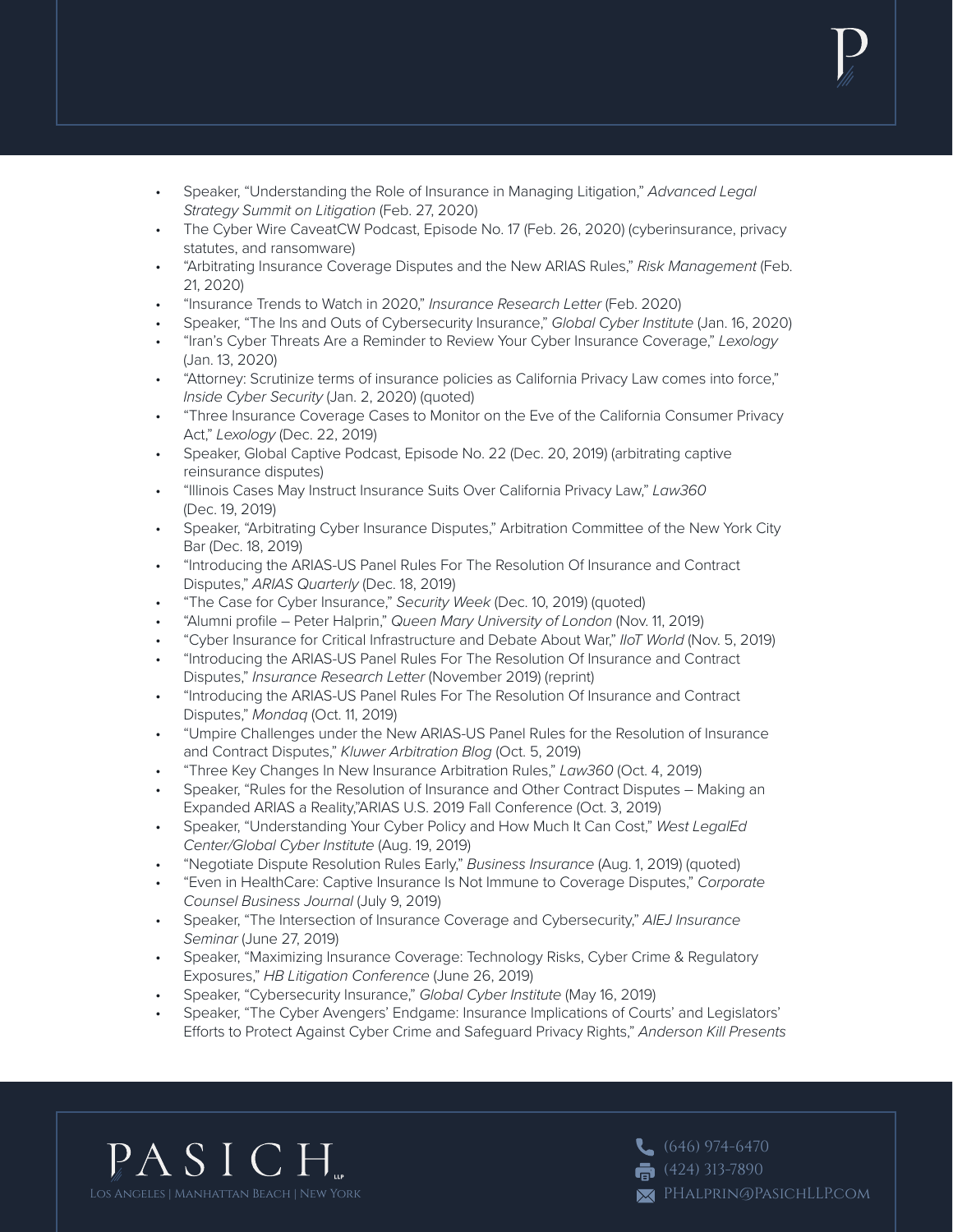- Speaker, "Understanding the Role of Insurance in Managing Litigation," *Advanced Legal Strategy Summit on Litigation* (Feb. 27, 2020)
- The Cyber Wire CaveatCW Podcast, Episode No. 17 (Feb. 26, 2020) (cyberinsurance, privacy statutes, and ransomware)
- "Arbitrating Insurance Coverage Disputes and the New ARIAS Rules," *Risk Management* (Feb. 21, 2020)
- "Insurance Trends to Watch in 2020," *Insurance Research Letter* (Feb. 2020)
- Speaker, "The Ins and Outs of Cybersecurity Insurance," *Global Cyber Institute* (Jan. 16, 2020)
- "Iran's Cyber Threats Are a Reminder to Review Your Cyber Insurance Coverage," *Lexology* (Jan. 13, 2020)
- "Attorney: Scrutinize terms of insurance policies as California Privacy Law comes into force," *Inside Cyber Security* (Jan. 2, 2020) (quoted)
- "Three Insurance Coverage Cases to Monitor on the Eve of the California Consumer Privacy Act," *Lexology* (Dec. 22, 2019)
- Speaker, Global Captive Podcast, Episode No. 22 (Dec. 20, 2019) (arbitrating captive reinsurance disputes)
- "Illinois Cases May Instruct Insurance Suits Over California Privacy Law," *Law360* (Dec. 19, 2019)
- Speaker, "Arbitrating Cyber Insurance Disputes," Arbitration Committee of the New York City Bar (Dec. 18, 2019)
- "Introducing the ARIAS-US Panel Rules For The Resolution Of Insurance and Contract Disputes," *ARIAS Quarterly* (Dec. 18, 2019)
- "The Case for Cyber Insurance," *Security Week* (Dec. 10, 2019) (quoted)
- "Alumni profile Peter Halprin," *Queen Mary University of London* (Nov. 11, 2019)
- "Cyber Insurance for Critical Infrastructure and Debate About War," *IIoT World* (Nov. 5, 2019)
- "Introducing the ARIAS-US Panel Rules For The Resolution Of Insurance and Contract Disputes," *Insurance Research Letter* (November 2019) (reprint)
- "Introducing the ARIAS-US Panel Rules For The Resolution Of Insurance and Contract Disputes," *Mondaq* (Oct. 11, 2019)
- "Umpire Challenges under the New ARIAS-US Panel Rules for the Resolution of Insurance and Contract Disputes," *Kluwer Arbitration Blog* (Oct. 5, 2019)
- "Three Key Changes In New Insurance Arbitration Rules," *Law360* (Oct. 4, 2019)
- Speaker, "Rules for the Resolution of Insurance and Other Contract Disputes Making an Expanded ARIAS a Reality,"ARIAS U.S. 2019 Fall Conference (Oct. 3, 2019)
- Speaker, "Understanding Your Cyber Policy and How Much It Can Cost," *West LegalEd Center/Global Cyber Institute* (Aug. 19, 2019)
- "Negotiate Dispute Resolution Rules Early," *Business Insurance* (Aug. 1, 2019) (quoted)
- "Even in HealthCare: Captive Insurance Is Not Immune to Coverage Disputes," *Corporate Counsel Business Journal* (July 9, 2019)
- Speaker, "The Intersection of Insurance Coverage and Cybersecurity," *AIEJ Insurance Seminar* (June 27, 2019)
- Speaker, "Maximizing Insurance Coverage: Technology Risks, Cyber Crime & Regulatory Exposures," *HB Litigation Conference* (June 26, 2019)
- Speaker, "Cybersecurity Insurance," *Global Cyber Institute* (May 16, 2019)
- Speaker, "The Cyber Avengers' Endgame: Insurance Implications of Courts' and Legislators' Efforts to Protect Against Cyber Crime and Safeguard Privacy Rights," *Anderson Kill Presents*



 $(646)$  974-6470  $\overline{6}$  (424) 313-7890 PHalprin@PasichLLP.com